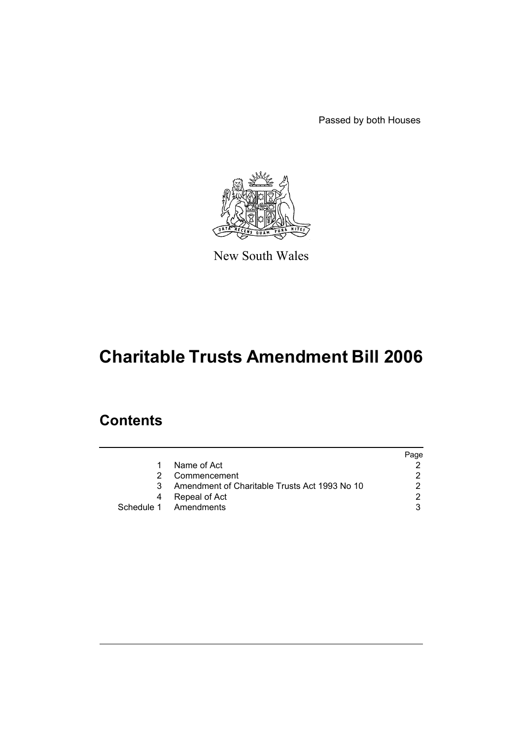Passed by both Houses



New South Wales

# **Charitable Trusts Amendment Bill 2006**

## **Contents**

|    |                                               | Page |
|----|-----------------------------------------------|------|
|    | Name of Act                                   |      |
|    | Commencement                                  |      |
| 3. | Amendment of Charitable Trusts Act 1993 No 10 |      |
| 4  | Repeal of Act                                 | ົ    |
|    | Schedule 1 Amendments                         |      |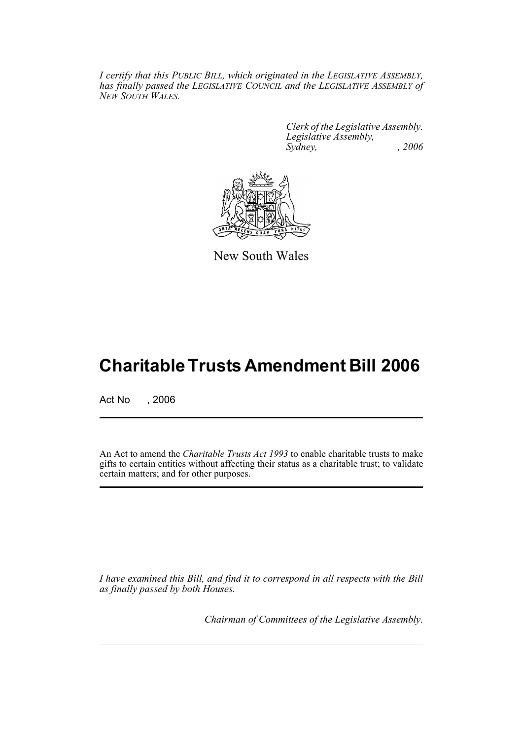*I certify that this PUBLIC BILL, which originated in the LEGISLATIVE ASSEMBLY, has finally passed the LEGISLATIVE COUNCIL and the LEGISLATIVE ASSEMBLY of NEW SOUTH WALES.*

> *Clerk of the Legislative Assembly. Legislative Assembly, Sydney, , 2006*



New South Wales

## **Charitable Trusts Amendment Bill 2006**

Act No , 2006

An Act to amend the *Charitable Trusts Act 1993* to enable charitable trusts to make gifts to certain entities without affecting their status as a charitable trust; to validate certain matters; and for other purposes.

*I have examined this Bill, and find it to correspond in all respects with the Bill as finally passed by both Houses.*

*Chairman of Committees of the Legislative Assembly.*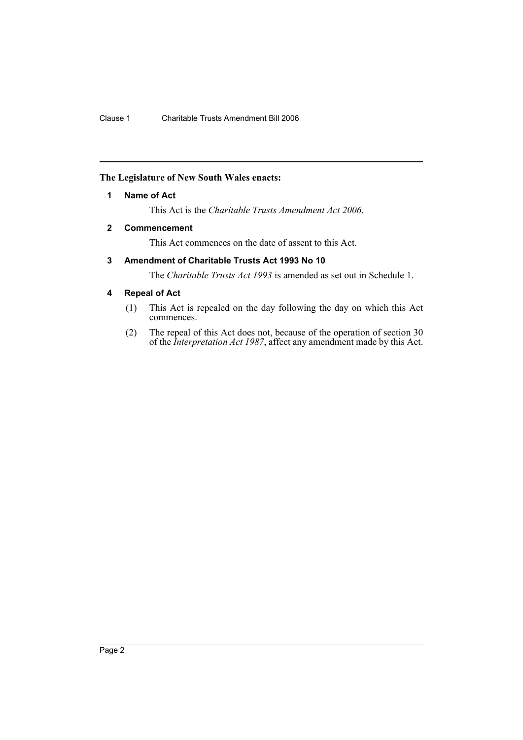### **The Legislature of New South Wales enacts:**

### **1 Name of Act**

This Act is the *Charitable Trusts Amendment Act 2006*.

### **2 Commencement**

This Act commences on the date of assent to this Act.

## **3 Amendment of Charitable Trusts Act 1993 No 10**

The *Charitable Trusts Act 1993* is amended as set out in Schedule 1.

### **4 Repeal of Act**

- (1) This Act is repealed on the day following the day on which this Act commences.
- (2) The repeal of this Act does not, because of the operation of section 30 of the *Interpretation Act 1987*, affect any amendment made by this Act.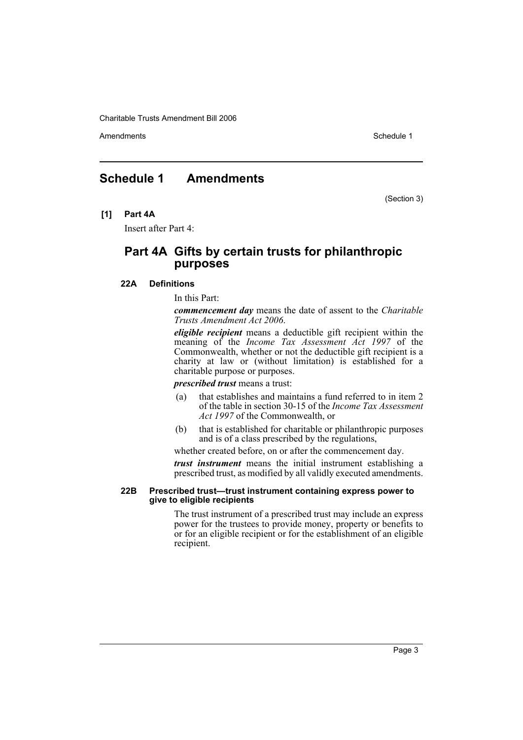Amendments **Schedule 1** and the set of the set of the set of the set of the set of the set of the set of the set of the set of the set of the set of the set of the set of the set of the set of the set of the set of the set

## **Schedule 1 Amendments**

(Section 3)

**[1] Part 4A**

Insert after Part 4:

## **Part 4A Gifts by certain trusts for philanthropic purposes**

#### **22A Definitions**

In this Part:

*commencement day* means the date of assent to the *Charitable Trusts Amendment Act 2006*.

*eligible recipient* means a deductible gift recipient within the meaning of the *Income Tax Assessment Act 1997* of the Commonwealth, whether or not the deductible gift recipient is a charity at law or (without limitation) is established for a charitable purpose or purposes.

*prescribed trust* means a trust:

- (a) that establishes and maintains a fund referred to in item 2 of the table in section 30-15 of the *Income Tax Assessment Act 1997* of the Commonwealth, or
- (b) that is established for charitable or philanthropic purposes and is of a class prescribed by the regulations,

whether created before, on or after the commencement day.

*trust instrument* means the initial instrument establishing a prescribed trust, as modified by all validly executed amendments.

#### **22B Prescribed trust—trust instrument containing express power to give to eligible recipients**

The trust instrument of a prescribed trust may include an express power for the trustees to provide money, property or benefits to or for an eligible recipient or for the establishment of an eligible recipient.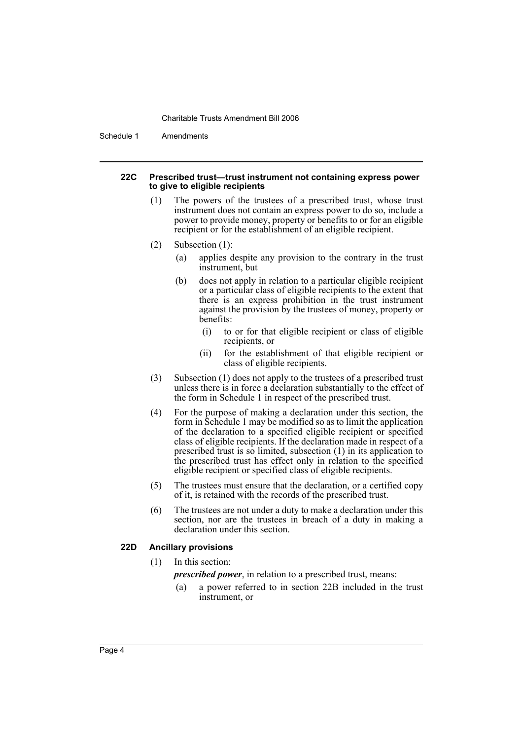Schedule 1 Amendments

#### **22C Prescribed trust—trust instrument not containing express power to give to eligible recipients**

- (1) The powers of the trustees of a prescribed trust, whose trust instrument does not contain an express power to do so, include a power to provide money, property or benefits to or for an eligible recipient or for the establishment of an eligible recipient.
- (2) Subsection (1):
	- (a) applies despite any provision to the contrary in the trust instrument, but
	- (b) does not apply in relation to a particular eligible recipient or a particular class of eligible recipients to the extent that there is an express prohibition in the trust instrument against the provision by the trustees of money, property or benefits:
		- (i) to or for that eligible recipient or class of eligible recipients, or
		- (ii) for the establishment of that eligible recipient or class of eligible recipients.
- (3) Subsection (1) does not apply to the trustees of a prescribed trust unless there is in force a declaration substantially to the effect of the form in Schedule 1 in respect of the prescribed trust.
- (4) For the purpose of making a declaration under this section, the form in Schedule 1 may be modified so as to limit the application of the declaration to a specified eligible recipient or specified class of eligible recipients. If the declaration made in respect of a prescribed trust is so limited, subsection (1) in its application to the prescribed trust has effect only in relation to the specified eligible recipient or specified class of eligible recipients.
- (5) The trustees must ensure that the declaration, or a certified copy of it, is retained with the records of the prescribed trust.
- (6) The trustees are not under a duty to make a declaration under this section, nor are the trustees in breach of a duty in making a declaration under this section.

#### **22D Ancillary provisions**

(1) In this section:

*prescribed power*, in relation to a prescribed trust, means:

(a) a power referred to in section 22B included in the trust instrument, or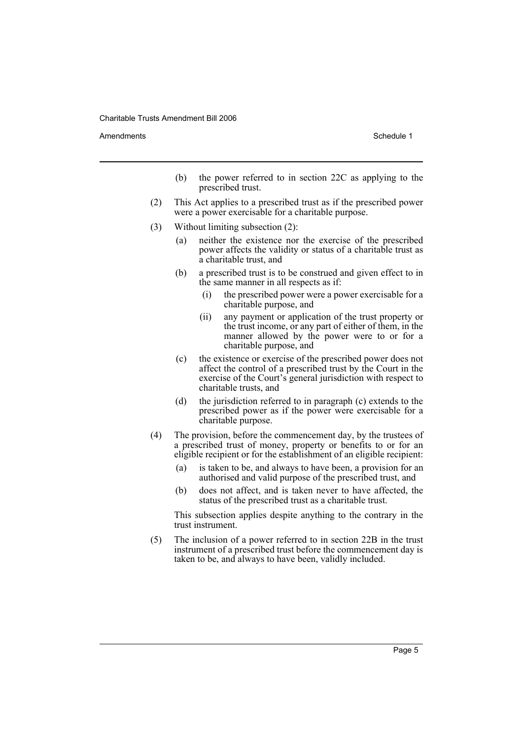Amendments **Amendments** Schedule 1

- (b) the power referred to in section 22C as applying to the prescribed trust.
- (2) This Act applies to a prescribed trust as if the prescribed power were a power exercisable for a charitable purpose.
- (3) Without limiting subsection (2):
	- (a) neither the existence nor the exercise of the prescribed power affects the validity or status of a charitable trust as a charitable trust, and
	- (b) a prescribed trust is to be construed and given effect to in the same manner in all respects as if:
		- (i) the prescribed power were a power exercisable for a charitable purpose, and
		- (ii) any payment or application of the trust property or the trust income, or any part of either of them, in the manner allowed by the power were to or for a charitable purpose, and
	- (c) the existence or exercise of the prescribed power does not affect the control of a prescribed trust by the Court in the exercise of the Court's general jurisdiction with respect to charitable trusts, and
	- (d) the jurisdiction referred to in paragraph (c) extends to the prescribed power as if the power were exercisable for a charitable purpose.
- (4) The provision, before the commencement day, by the trustees of a prescribed trust of money, property or benefits to or for an eligible recipient or for the establishment of an eligible recipient:
	- (a) is taken to be, and always to have been, a provision for an authorised and valid purpose of the prescribed trust, and
	- (b) does not affect, and is taken never to have affected, the status of the prescribed trust as a charitable trust.

This subsection applies despite anything to the contrary in the trust instrument.

(5) The inclusion of a power referred to in section 22B in the trust instrument of a prescribed trust before the commencement day is taken to be, and always to have been, validly included.